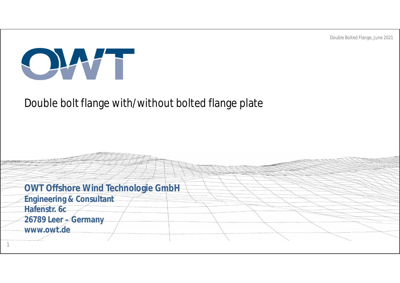Double Bolted Flange, June 2021



#### Double bolt flange with/without bolted flange plate

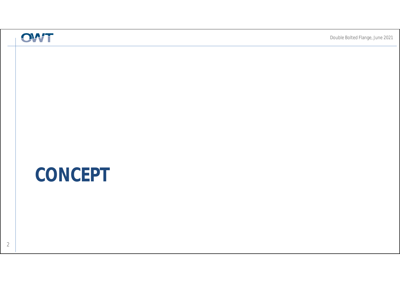# **CONCEPT**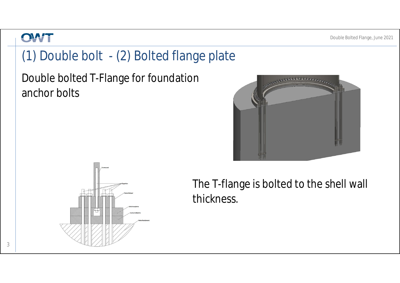## (1) Double bolt - (2) Bolted flange plate

Double bolted T-Flange for foundation anchor bolts





The T-flange is bolted to the shell wall thickness.

3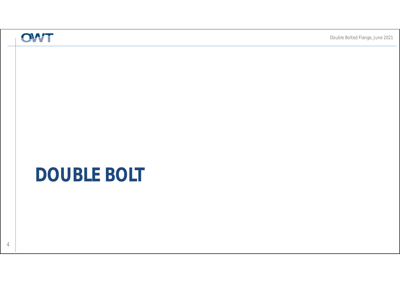# **DOUBLE BOLT**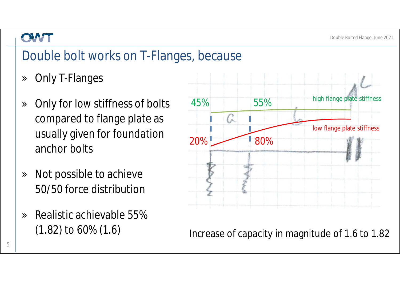## Double bolt works on T-Flanges, because

- » Only T-Flanges
- » Only for low stiffness of bolts compared to flange plate as usually given for foundation anchor bolts
- » Not possible to achieve 50/50 force distribution
- » Realistic achievable 55% (1.82) to 60% (1.6)



Increase of capacity in magnitude of 1.6 to 1.82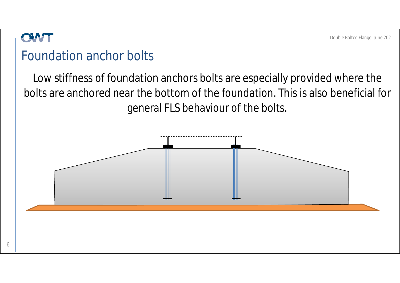#### Foundation anchor bolts

Low stiffness of foundation anchors bolts are especially provided where the bolts are anchored near the bottom of the foundation. This is also beneficial for general FLS behaviour of the bolts.

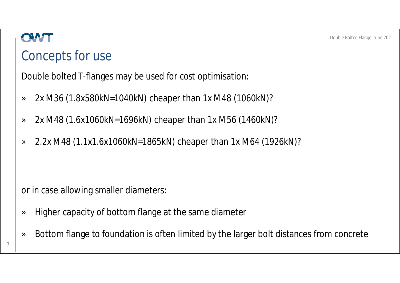#### OLWH

### Concepts for use

Double bolted T-flanges may be used for cost optimisation:

- » 2x M36 (1.8x580kN=1040kN) cheaper than 1x M48 (1060kN)?
- » 2x M48 (1.6x1060kN=1696kN) cheaper than 1x M56 (1460kN)?
- » 2.2x M48 (1.1x1.6x1060kN=1865kN) cheaper than 1x M64 (1926kN)?

or in case allowing smaller diameters:

- » Higher capacity of bottom flange at the same diameter
- » Bottom flange to foundation is often limited by the larger bolt distances from concrete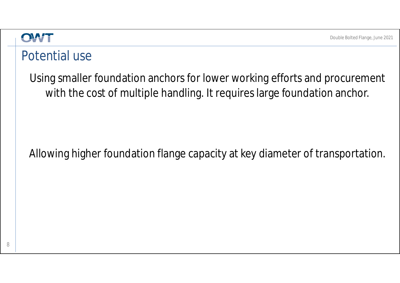#### Potential use

Using smaller foundation anchors for lower working efforts and procurement with the cost of multiple handling. It requires large foundation anchor.

#### Allowing higher foundation flange capacity at key diameter of transportation.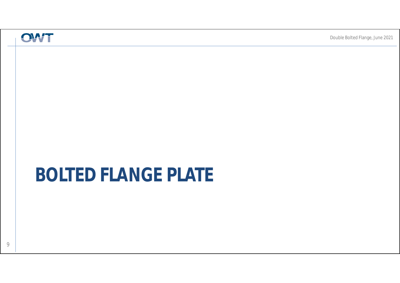# **BOLTED FLANGE PLATE**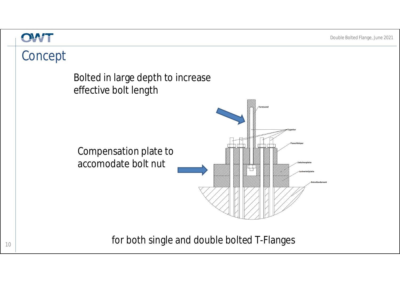#### OWT

## Concept

Bolted in large depth to increase effective bolt length



for both single and double bolted T-Flanges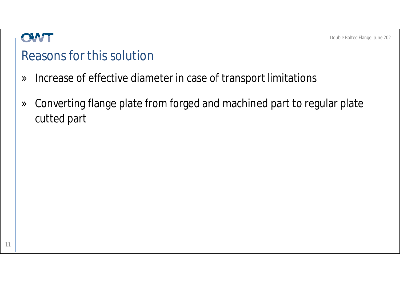### Reasons for this solution

- » Increase of effective diameter in case of transport limitations
- » Converting flange plate from forged and machined part to regular plate cutted part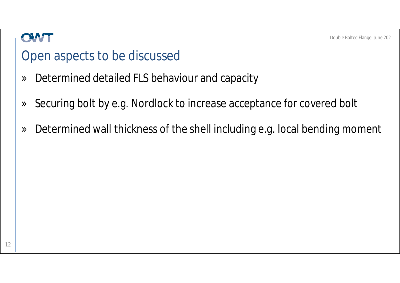### Open aspects to be discussed

- » Determined detailed FLS behaviour and capacity
- » Securing bolt by e.g. Nordlock to increase acceptance for covered bolt
- » Determined wall thickness of the shell including e.g. local bending moment